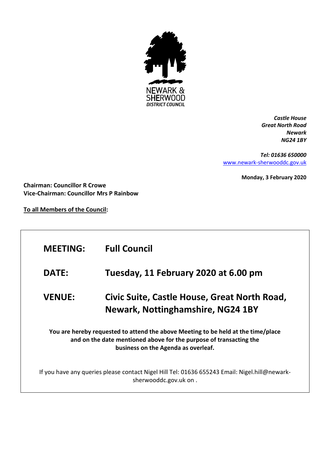

*Castle House Great North Road Newark NG24 1BY*

*Tel: 01636 650000* [www.newark-sherwooddc.gov.uk](http://www.newark-sherwooddc.gov.uk/)

**Monday, 3 February 2020**

**Chairman: Councillor R Crowe Vice-Chairman: Councillor Mrs P Rainbow**

**To all Members of the Council:**

| <b>MEETING:</b>                                                                                                                                                                                | <b>Full Council</b>                                                                                                    |  |
|------------------------------------------------------------------------------------------------------------------------------------------------------------------------------------------------|------------------------------------------------------------------------------------------------------------------------|--|
| <b>DATE:</b>                                                                                                                                                                                   | Tuesday, 11 February 2020 at 6.00 pm                                                                                   |  |
| <b>VENUE:</b>                                                                                                                                                                                  | Civic Suite, Castle House, Great North Road,<br><b>Newark, Nottinghamshire, NG24 1BY</b>                               |  |
| You are hereby requested to attend the above Meeting to be held at the time/place<br>and on the date mentioned above for the purpose of transacting the<br>business on the Agenda as overleaf. |                                                                                                                        |  |
|                                                                                                                                                                                                | If you have any queries please contact Nigel Hill Tel: 01636 655243 Email: Nigel.hill@newark-<br>sherwooddc.gov.uk on. |  |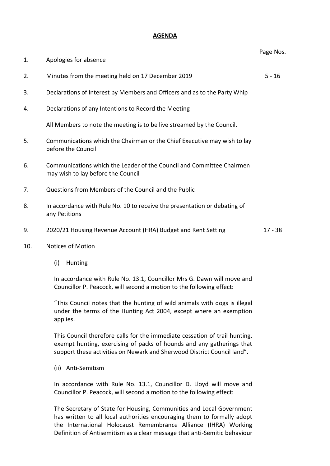## **AGENDA**

|     |                                                                                                             | Page Nos. |
|-----|-------------------------------------------------------------------------------------------------------------|-----------|
| 1.  | Apologies for absence                                                                                       |           |
| 2.  | Minutes from the meeting held on 17 December 2019                                                           | $5 - 16$  |
| 3.  | Declarations of Interest by Members and Officers and as to the Party Whip                                   |           |
| 4.  | Declarations of any Intentions to Record the Meeting                                                        |           |
|     | All Members to note the meeting is to be live streamed by the Council.                                      |           |
| 5.  | Communications which the Chairman or the Chief Executive may wish to lay<br>before the Council              |           |
| 6.  | Communications which the Leader of the Council and Committee Chairmen<br>may wish to lay before the Council |           |
| 7.  | Questions from Members of the Council and the Public                                                        |           |
| 8.  | In accordance with Rule No. 10 to receive the presentation or debating of<br>any Petitions                  |           |
| 9.  | 2020/21 Housing Revenue Account (HRA) Budget and Rent Setting                                               | $17 - 38$ |
| 10. | <b>Notices of Motion</b>                                                                                    |           |

(i) Hunting

In accordance with Rule No. 13.1, Councillor Mrs G. Dawn will move and Councillor P. Peacock, will second a motion to the following effect:

"This Council notes that the hunting of wild animals with dogs is illegal under the terms of the Hunting Act 2004, except where an exemption applies.

This Council therefore calls for the immediate cessation of trail hunting, exempt hunting, exercising of packs of hounds and any gatherings that support these activities on Newark and Sherwood District Council land".

(ii) Anti-Semitism

In accordance with Rule No. 13.1, Councillor D. Lloyd will move and Councillor P. Peacock, will second a motion to the following effect:

The Secretary of State for Housing, Communities and Local Government has written to all local authorities encouraging them to formally adopt the International Holocaust Remembrance Alliance (IHRA) Working Definition of Antisemitism as a clear message that anti-Semitic behaviour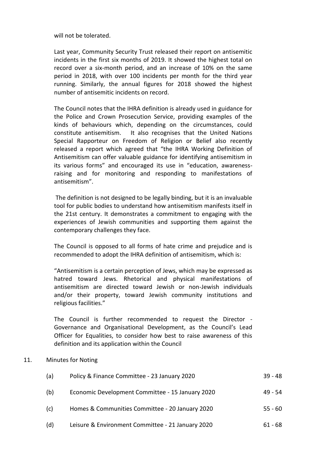will not be tolerated.

Last year, Community Security Trust released their report on antisemitic incidents in the first six months of 2019. It showed the highest total on record over a six-month period, and an increase of 10% on the same period in 2018, with over 100 incidents per month for the third year running. Similarly, the annual figures for 2018 showed the highest number of antisemitic incidents on record.

The Council notes that the IHRA definition is already used in guidance for the Police and Crown Prosecution Service, providing examples of the kinds of behaviours which, depending on the circumstances, could constitute antisemitism. It also recognises that the United Nations Special Rapporteur on Freedom of Religion or Belief also recently released a report which agreed that "the IHRA Working Definition of Antisemitism can offer valuable guidance for identifying antisemitism in its various forms" and encouraged its use in "education, awarenessraising and for monitoring and responding to manifestations of antisemitism".

The definition is not designed to be legally binding, but it is an invaluable tool for public bodies to understand how antisemitism manifests itself in the 21st century. It demonstrates a commitment to engaging with the experiences of Jewish communities and supporting them against the contemporary challenges they face.

The Council is opposed to all forms of hate crime and prejudice and is recommended to adopt the IHRA definition of antisemitism, which is:

"Antisemitism is a certain perception of Jews, which may be expressed as hatred toward Jews. Rhetorical and physical manifestations of antisemitism are directed toward Jewish or non-Jewish individuals and/or their property, toward Jewish community institutions and religious facilities."

The Council is further recommended to request the Director - Governance and Organisational Development, as the Council's Lead Officer for Equalities, to consider how best to raise awareness of this definition and its application within the Council

## 11. Minutes for Noting

| (a) | Policy & Finance Committee - 23 January 2020      | $39 - 48$ |
|-----|---------------------------------------------------|-----------|
| (b) | Economic Development Committee - 15 January 2020  | $49 - 54$ |
| (c) | Homes & Communities Committee - 20 January 2020   | $55 - 60$ |
| (d) | Leisure & Environment Committee - 21 January 2020 | $61 - 68$ |